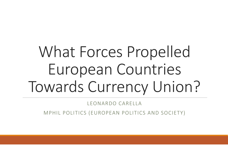# What Forces Propelled European Countries Towards Currency Union?

LEONARDO CARELLA

MPHIL POLITICS (EUROPEAN POLITICS AND SOCIETY)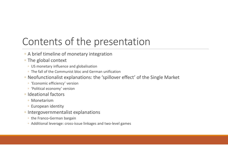#### Contents of the presentation

- A brief timeline of monetary integration
- The global context
	- US monetary influence and globalisation
	- The fall of the Communist bloc and German unification
- Neofunctionalist explanations: the 'spillover effect' of the Single Market
	- 'Economic efficiency' version
	- 'Political economy' version
- Ideational factors
	- Monetarism
	- European identity
- Intergovernmentalist explanations
	- the Franco-German bargain
	- Additional leverage: cross-issue linkages and two-level games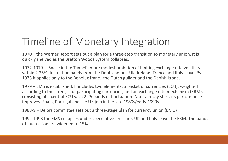### Timeline of Monetary Integration

1970 – the Werner Report sets out a plan for a three-step transition to monetary union. It is quickly shelved as the Bretton Woods System collapses.

1972-1979 – 'Snake in the Tunnel': more modest ambition of limiting exchange rate volatility within 2.25% fluctuation bands from the Deutschmark. UK, Ireland, France and Italy leave. By 1975 it applies only to the Benelux franc, the Dutch guilder and the Danish krone.

1979 – EMS is established. It includes two elements: a basket of currencies (ECU), weighted according to the strength of participating currencies, and an exchange rate mechanism (ERM), consisting of a central ECU with 2.25 bands of fluctuation. After a rocky start, its performance improves. Spain, Portugal and the UK join in the late 1980s/early 1990s.

1988-9 – Delors committee sets out a three-stage plan for currency union (EMU)

1992-1993 the EMS collapses under speculative pressure. UK and Italy leave the ERM. The bands of fluctuation are widened to 15%.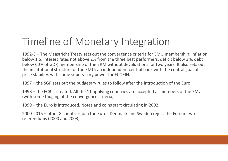### Timeline of Monetary Integration

1992-3 – The Maastricht Treaty sets out the convergence criteria for EMU membership: inflation below 1.5, interest rates not above 2% from the three best performers, deficit below 3%, debt below 60% of GDP, membership of the ERM without devaluations for two years. It also sets out the institutional structure of the EMU: an independent central bank with the central goal of price stability, with some supervisory power for ECOFIN.

1997 – the SGP sets out the budgetary rules to follow after the introduction of the Euro.

1998 – the ECB is created. All the 11 applying countries are accepted as members of the EMU (with some fudging of the convergence criteria).

1999 – the Euro is introduced. Notes and coins start circulating in 2002.

2000-2015 – other 8 countries join the Euro. Denmark and Sweden reject the Euro in two referendums (2000 and 2003).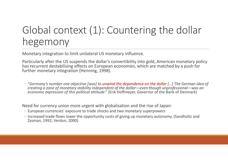## Global context (1): Countering the dollar hegemony

Monetary integration to limit unilateral US monetary influence.

Particularly after the US suspends the dollar's convertibility into gold, American monetary policy has recurrent destabilising effects on European economies, which are matched by a push for further monetary integration (Henning, 1998).

◦ "*Germany's number one objective [was] to unwind the dependence on the dollar […] The German idea of creating a zone of monetary stability independent of the dollar—even though unprofessional—was an economic expression of this political attitude*." (Erik Hoffmeyer, Governor of the Bank of Denmark)

Need for currency union more urgent with globalisation and the rise of Japan:

- European currencies' exposure to trade shocks and two monetary superpowers
- Increased trade flows lower the opportunity costs of giving up monetary autonomy. (Sandholtz and Zysman, 1992; Verdun, 2000)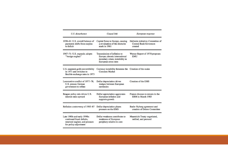| U.S. disturbance                                                                                                    | <b>Causal</b> link                                                                                                       | European response                                                              |
|---------------------------------------------------------------------------------------------------------------------|--------------------------------------------------------------------------------------------------------------------------|--------------------------------------------------------------------------------|
| 1958-61: U.S. overall balance of<br>payments shifts from surplus<br>to deficit                                      | Capital flows to Europe, causing<br>a revaluation of the deutsche<br>mark in 1961                                        | Hallstein initiative; Committee of<br><b>Central Bank Governors</b><br>created |
| 1967-71: U.S. expands; adopts<br>"benign neglect"                                                                   | Transmission of inflation to<br>Europe; chronic international<br>monetary crises; instability in<br>European cross rates | Werner Report of 1970 proposes<br><b>EMU</b>                                   |
| U.S. suspends gold convertibility<br>in 1971 and switches to<br>flexible exchange rates in 1973                     | Currency instability threatens the Creation of the snake<br><b>Common Market</b>                                         |                                                                                |
| Locomotive conflict of 1977–78;<br>U.S. presses German<br>government to reflate                                     | Dollar depreciation drives<br>wedges between European<br>currencies                                                      | Creation of the EMS                                                            |
| Reagan policy mix drives U.S.<br>interest rates upward                                                              | Dollar appreciation aggravates<br>European inflation and<br>supports growth                                              | France chooses to remain in the<br>ERM in March 1983                           |
| Reflation controversy of 1985-87                                                                                    | Dollar depreciation places<br>pressure on the EMS                                                                        | Basle-Nyborg agreement and<br>creation of Delors Committee                     |
| Late 1980s and early 1990s:<br>continued fiscal deficits.<br>renewed neglect, and pressure<br>for policy adjustment | Dollar weakness contributes to<br>weakness of European<br>periphery relative to core                                     | Maastricht Treaty negotiated,<br>ratified, and pursued                         |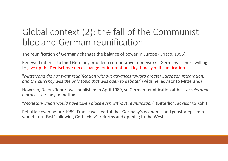#### Global context (2): the fall of the Communist bloc and German reunification

The reunification of Germany changes the balance of power in Europe (Grieco, 1996)

Renewed interest to bind Germany into deep co-operative frameworks. Germany is more willing to give up the Deutschmark in exchange for international legitimacy of its unification.

"*Mitterrand did not want reunification without advances toward greater European integration, and the currency was the only topic that was open to debate*." (Védrine, advisor to Mitterand)

However, Delors Report was published in April 1989, so German reunification at best *accelerated* a process already in motion.

"*Monetary union would have taken place even without reunification*" (Bitterlich, advisor to Kohl)

Rebuttal: even before 1989, France was fearful that Germany's economic and geostrategic mires would 'turn East' following Gorbachev's reforms and opening to the West.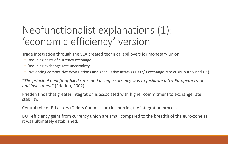#### Neofunctionalist explanations (1): 'economic efficiency' version

Trade integration through the SEA created technical spillovers for monetary union:

- Reducing costs of currency exchange
- Reducing exchange rate uncertainty
- Preventing competitive devaluations and speculative attacks (1992/3 exchange rate crisis in Italy and UK)

"*The principal benefit of fixed rates and a single currency was to facilitate intra-European trade and investment*" (Frieden, 2002)

Frieden finds that greater integration is associated with higher commitment to exchange rate stability.

Central role of EU actors (Delors Commission) in spurring the integration process.

BUT efficiency gains from currency union are small compared to the breadth of the euro-zone as it was ultimately established.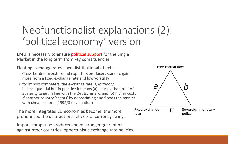#### Neofunctionalist explanations (2): 'political economy' version

EMU is necessary to ensure political support for the Single Market in the long term from key constituencies

Floating exchange rates have distributional effects:

- Cross-border inverstors and exporters producers stand to gain more from a fixed exchange rate and low volatility
- for import competers, the exchange rate is, *in theory*, inconsequential but in practice it means (a) bearing the brunt of austerity to get in line with the Deutschmark, and (b) higher costs if another country 'cheats' by depreciating and floods the market with cheap exports (1992/3 devaluation)

The more integrated EU economies become, the more pronounced the distributional effects of currency swings.

Import-competing producers need stronger guarantees against other countries' opportunistic exchange rate policies.

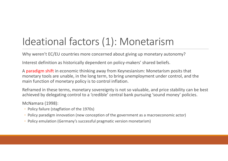### Ideational factors (1): Monetarism

Why weren't EC/EU countries more concerned about giving up monetary autonomy?

Interest definition as historically dependent on policy-makers' shared beliefs.

A paradigm shift in economic thinking away from Keynesianism: Monetarism posits that monetary tools are unable, in the long term, to bring unemployment under control, and the main function of monetary policy is to control inflation.

Reframed in these terms, monetary sovereignty is not so valuable, and price stability can be best achieved by delegating control to a 'credible' central bank pursuing 'sound money' policies.

McNamara (1998):

- Policy failure (stagflation of the 1970s)
- Policy paradigm innovation (new conception of the government as a macroeconomic actor)
- Policy emulation (Germany's successful pragmatic version monetarism)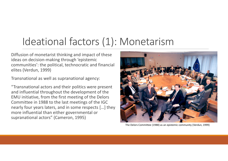#### Ideational factors (1): Monetarism

Diffusion of monetarist thinking and impact of these ideas on decision-making through 'epistemic communities': the political, technocratic and financial elites (Verdun, 1999)

Transnational as well as supranational agency:

"Transnational actors and their politics were present and influential throughout the development of the EMU initiative, from the first meeting of the Delors Committee in 1988 to the last meetings of the IGC nearly four years laters, and in some respects […] they more influential than either governmental or supranational actors" (Cameron, 1995)



The Delors Committee (1988) as an epistemic community (Verdun, 1999)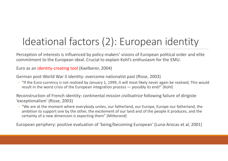# Ideational factors (2): European identity

Perception of interests is influenced by policy-makers' visions of European political order and elite commitment to the European ideal. Crucial to explain Kohl's enthusiasm for the EMU.

Euro as an identity-creating tool (Kaelberer, 2004)

German post-World War II identity: overcome nationalist past (Risse, 2003)

◦ "If the Euro-currency is not realized by January 1, 1999, it will most likely never again be realized; This would result in the worst crisis of the European integration process — possibly its end!" (Kohl)

Reconstruction of French identity: continental *mission civilisatrice* following failure of dirigiste 'exceptionalism' (Risse, 2003)

◦ "We are at the moment where everybody unites, our fatherland, our Europe, Europe our fatherland, the ambition to support one by the other, the excitement of our land and of the people it produces, and the certainty of a new dimension is expecting them" (Mitterand)

European periphery: positive evaluation of 'being/becoming European' (Luna-Arocas et al, 2001)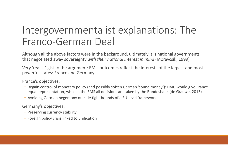#### Intergovernmentalist explanations: The Franco-German Deal

Although all the above factors were in the background, ultimately it is national governments that negotiated away sovereignty *with their national interest in mind* (Moravcsik, 1999)

Very 'realist' gist to the argument: EMU outcomes reflect the interests of the largest and most powerful states: France and Germany.

France's objectives:

- Regain control of monetary policy (and possibly soften German 'sound money'): EMU would give France equal representation, while in the EMS all decisions are taken by the Bundesbank (de Grauwe, 2013)
- Avoiding German hegemony outside tight bounds of a EU-level framework

Germany's objectives:

- Preserving currency stability
- Foreign policy crisis linked to unification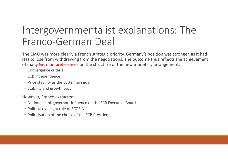#### Intergovernmentalist explanations: The Franco-German Deal

The EMU was more clearly a French strategic priority. Germany's position was stronger, as it had less to lose from withdrawing from the negotiations. The outcome thus reflects the achievement of many German preferences on the structure of the new monetary arrangement:

- Convergence criteria
- ECB independence
- Price stability as the ECB's main goal
- Stability and growth pact

However, France extracted:

- National bank governors influence on the ECB Executive Board
- Political oversight role of ECOFIN
- Politicisation of the choice of the ECB President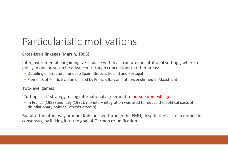#### Particularistic motivations

Cross-issue linkages (Martin, 1993)

Intergovernmental bargaining takes place within a structured institutional settings, where a policy in one area can be advanced through concessions in other areas:

- Doubling of structural funds to Spain, Greece, Ireland and Portugal
- Elements of Political Union desired by France, Italy and others enshrined in Maastricht

#### Two-level games

'Cutting slack' strategy: using international agreement to pursue domestic goals

◦ In France (1983) and Italy (1992), monetary integration was used to reduce the political costs of disinflationary policies (*vincolo esterno*)

But also the other way around: Kohl pushed through the EMU, despite the lack of a domestic consensus, by linking it to the goal of German re-unification.